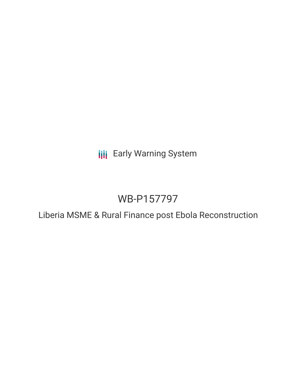**III** Early Warning System

# WB-P157797

Liberia MSME & Rural Finance post Ebola Reconstruction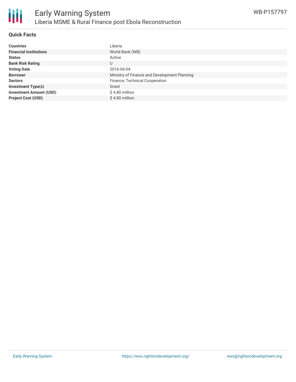

## **Quick Facts**

| <b>Countries</b>               | Liberia                                      |
|--------------------------------|----------------------------------------------|
| <b>Financial Institutions</b>  | World Bank (WB)                              |
| <b>Status</b>                  | Active                                       |
| <b>Bank Risk Rating</b>        | U                                            |
| <b>Voting Date</b>             | 2016-04-04                                   |
| <b>Borrower</b>                | Ministry of Finance and Development Planning |
| <b>Sectors</b>                 | Finance, Technical Cooperation               |
| <b>Investment Type(s)</b>      | Grant                                        |
| <b>Investment Amount (USD)</b> | $$4.80$ million                              |
| <b>Project Cost (USD)</b>      | \$4.80 million                               |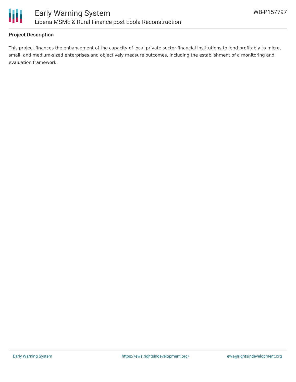

# **Project Description**

This project finances the enhancement of the capacity of local private sector financial institutions to lend profitably to micro, small, and medium-sized enterprises and objectively measure outcomes, including the establishment of a monitoring and evaluation framework.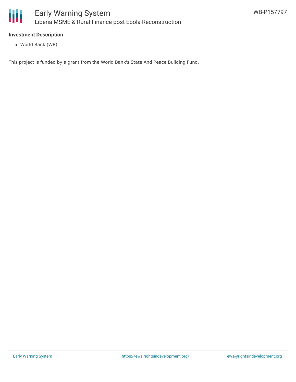

## **Investment Description**

World Bank (WB)

This project is funded by a grant from the World Bank's State And Peace Building Fund.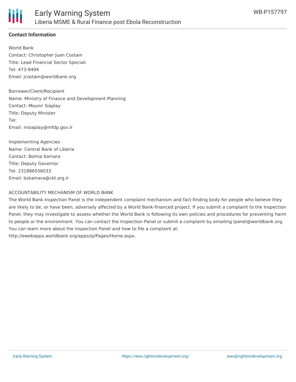

# **Contact Information**

World Bank Contact: Christopher Juan Costain Title: Lead Financial Sector Speciali Tel: 473-9494 Email: jcostain@worldbank.org

Borrower/Client/Recipient Name: Ministry of Finance and Development Planning Contact: Mounir Siaplay Title: Deputy Minister Tel: Email: msiaplay@mfdp.gov.lr

Implementing Agencies Name: Central Bank of Liberia Contact: Boima Kamara Title: Deputy Governor Tel: 231886556033 Email: bskamara@cbl.org.lr

#### ACCOUNTABILITY MECHANISM OF WORLD BANK

The World Bank Inspection Panel is the independent complaint mechanism and fact-finding body for people who believe they are likely to be, or have been, adversely affected by a World Bank-financed project. If you submit a complaint to the Inspection Panel, they may investigate to assess whether the World Bank is following its own policies and procedures for preventing harm to people or the environment. You can contact the Inspection Panel or submit a complaint by emailing ipanel@worldbank.org. You can learn more about the Inspection Panel and how to file a complaint at: http://ewebapps.worldbank.org/apps/ip/Pages/Home.aspx.